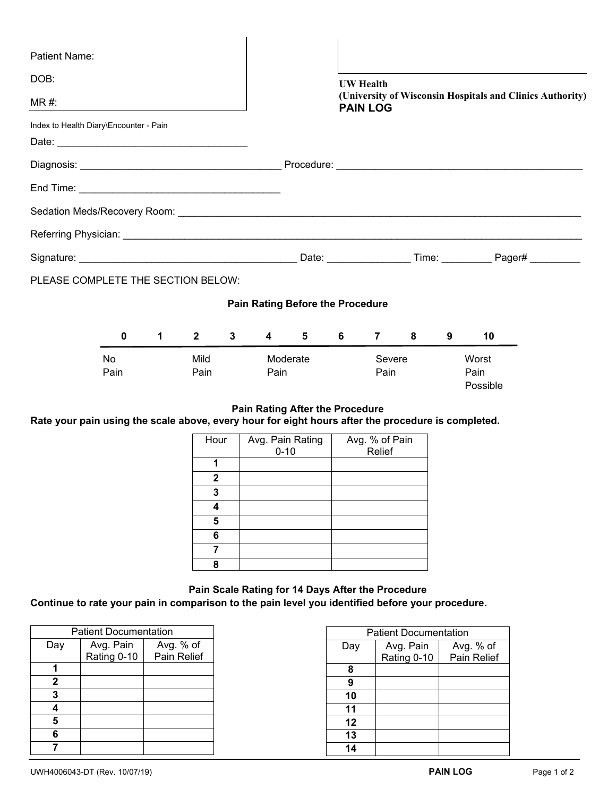| <b>Patient Name:</b>                                                                               |                                   |                |             |                  |                |                                         |                |                                                                              |                  |                           |   |    |  |  |
|----------------------------------------------------------------------------------------------------|-----------------------------------|----------------|-------------|------------------|----------------|-----------------------------------------|----------------|------------------------------------------------------------------------------|------------------|---------------------------|---|----|--|--|
| DOB:                                                                                               |                                   |                |             |                  |                |                                         |                |                                                                              | <b>UW</b> Health |                           |   |    |  |  |
| $MR#$ :                                                                                            |                                   |                |             |                  |                |                                         |                | (University of Wisconsin Hospitals and Clinics Authority)<br><b>PAIN LOG</b> |                  |                           |   |    |  |  |
| Index to Health Diary\Encounter - Pain                                                             |                                   |                |             |                  |                |                                         |                |                                                                              |                  |                           |   |    |  |  |
|                                                                                                    |                                   |                |             |                  |                |                                         |                |                                                                              |                  |                           |   |    |  |  |
|                                                                                                    |                                   |                |             |                  |                |                                         |                |                                                                              |                  |                           |   |    |  |  |
|                                                                                                    |                                   |                |             |                  |                |                                         |                |                                                                              |                  |                           |   |    |  |  |
|                                                                                                    |                                   |                |             |                  |                |                                         |                |                                                                              |                  |                           |   |    |  |  |
|                                                                                                    |                                   |                |             |                  |                |                                         |                |                                                                              |                  |                           |   |    |  |  |
|                                                                                                    |                                   |                |             |                  |                |                                         |                |                                                                              |                  |                           |   |    |  |  |
| PLEASE COMPLETE THE SECTION BELOW:                                                                 |                                   |                |             |                  |                |                                         |                |                                                                              |                  |                           |   |    |  |  |
|                                                                                                    |                                   |                |             |                  |                | <b>Pain Rating Before the Procedure</b> |                |                                                                              |                  |                           |   |    |  |  |
|                                                                                                    | 0                                 | $1 \quad \Box$ | $2^{\circ}$ | $3^{\circ}$      | $\overline{4}$ | $5^{\circ}$                             |                | $6 \qquad$                                                                   |                  | $7 \t 8$                  | 9 | 10 |  |  |
|                                                                                                    | <b>No</b><br>Mild<br>Pain<br>Pain |                |             | Moderate<br>Pain |                |                                         | Severe<br>Pain |                                                                              |                  | Worst<br>Pain<br>Possible |   |    |  |  |
| Rate your pain using the scale above, every hour for eight hours after the procedure is completed. |                                   |                |             |                  |                | <b>Pain Rating After the Procedure</b>  |                |                                                                              |                  |                           |   |    |  |  |

| Hour | Avg. Pain Rating<br>$0 - 10$ | Avg. % of Pain<br>Relief |
|------|------------------------------|--------------------------|
|      |                              |                          |
|      |                              |                          |
| 2    |                              |                          |
| 3    |                              |                          |
| Δ    |                              |                          |
| 5    |                              |                          |
| 6    |                              |                          |
|      |                              |                          |
| 8    |                              |                          |

**Pain Scale Rating for 14 Days After the Procedure Continue to rate your pain in comparison to the pain level you identified before your procedure.**

| <b>Patient Documentation</b> |                        |             |  |  |  |  |
|------------------------------|------------------------|-------------|--|--|--|--|
| Day                          | Avg. % of<br>Avg. Pain |             |  |  |  |  |
|                              | Rating 0-10            | Pain Relief |  |  |  |  |
|                              |                        |             |  |  |  |  |
| 2                            |                        |             |  |  |  |  |
| 3                            |                        |             |  |  |  |  |
|                              |                        |             |  |  |  |  |
| 5                            |                        |             |  |  |  |  |
| 6                            |                        |             |  |  |  |  |
|                              |                        |             |  |  |  |  |

| <b>Patient Documentation</b> |             |             |  |  |  |
|------------------------------|-------------|-------------|--|--|--|
| Day                          | Avg. Pain   | Avg. % of   |  |  |  |
|                              | Rating 0-10 | Pain Relief |  |  |  |
| 8                            |             |             |  |  |  |
| 9                            |             |             |  |  |  |
| 10                           |             |             |  |  |  |
| 11                           |             |             |  |  |  |
| 12                           |             |             |  |  |  |
| 13                           |             |             |  |  |  |
| 14                           |             |             |  |  |  |